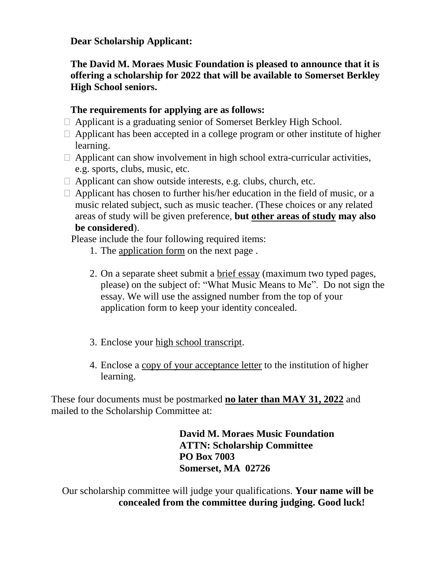**Dear Scholarship Applicant:**

**The David M. Moraes Music Foundation is pleased to announce that it is offering a scholarship for 2022 that will be available to Somerset Berkley High School seniors.**

## **The requirements for applying are as follows:**

- Applicant is a graduating senior of Somerset Berkley High School.
- $\Box$  Applicant has been accepted in a college program or other institute of higher learning.
- $\Box$  Applicant can show involvement in high school extra-curricular activities, e.g. sports, clubs, music, etc.
- $\Box$  Applicant can show outside interests, e.g. clubs, church, etc.
- $\Box$  Applicant has chosen to further his/her education in the field of music, or a music related subject, such as music teacher. (These choices or any related areas of study will be given preference, **but other areas of study may also be considered**).

Please include the four following required items:

- 1. The application form on the next page .
- 2. On a separate sheet submit a brief essay (maximum two typed pages, please) on the subject of: "What Music Means to Me". Do not sign the essay. We will use the assigned number from the top of your application form to keep your identity concealed.
- 3. Enclose your high school transcript.
- 4. Enclose a copy of your acceptance letter to the institution of higher learning.

These four documents must be postmarked **no later than MAY 31, 2022** and mailed to the Scholarship Committee at:

> **David M. Moraes Music Foundation ATTN: Scholarship Committee PO Box 7003 Somerset, MA 02726**

Our scholarship committee will judge your qualifications. **Your name will be concealed from the committee during judging. Good luck!**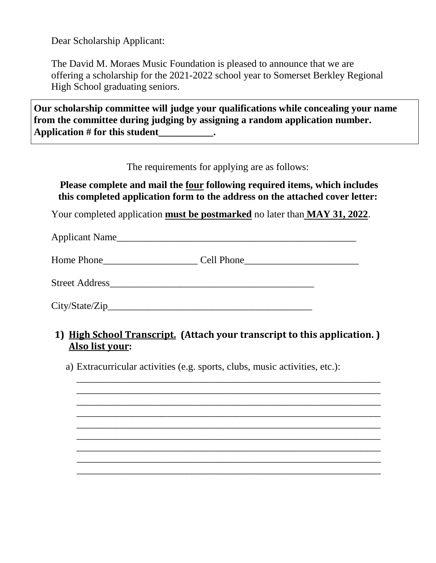Dear Scholarship Applicant:

The David M. Moraes Music Foundation is pleased to announce that we are offering a scholarship for the 2021-2022 school year to Somerset Berkley Regional High School graduating seniors.

**Our scholarship committee will judge your qualifications while concealing your name from the committee during judging by assigning a random application number. Application # for this student\_\_\_\_\_\_\_\_\_\_\_.**

The requirements for applying are as follows:

**Please complete and mail the four following required items, which includes this completed application form to the address on the attached cover letter:**

Your completed application **must be postmarked** no later than **MAY 31, 2022**.

Applicant Name

Home Phone  $\Box$  Cell Phone

Street Address

City/State/Zip\_\_\_\_\_\_\_\_\_\_\_\_\_\_\_\_\_\_\_\_\_\_\_\_\_\_\_\_\_\_\_\_\_\_\_\_\_\_\_\_\_

## **1) High School Transcript. (Attach your transcript to this application. ) Also list your:**

\_\_\_\_\_\_\_\_\_\_\_\_\_\_\_\_\_\_\_\_\_\_\_\_\_\_\_\_\_\_\_\_\_\_\_\_\_\_\_\_\_\_\_\_\_\_\_\_\_\_\_\_\_\_\_\_\_\_\_\_\_ \_\_\_\_\_\_\_\_\_\_\_\_\_\_\_\_\_\_\_\_\_\_\_\_\_\_\_\_\_\_\_\_\_\_\_\_\_\_\_\_\_\_\_\_\_\_\_\_\_\_\_\_\_\_\_\_\_\_\_\_\_ \_\_\_\_\_\_\_\_\_\_\_\_\_\_\_\_\_\_\_\_\_\_\_\_\_\_\_\_\_\_\_\_\_\_\_\_\_\_\_\_\_\_\_\_\_\_\_\_\_\_\_\_\_\_\_\_\_\_\_\_\_ \_\_\_\_\_\_\_\_\_\_\_\_\_\_\_\_\_\_\_\_\_\_\_\_\_\_\_\_\_\_\_\_\_\_\_\_\_\_\_\_\_\_\_\_\_\_\_\_\_\_\_\_\_\_\_\_\_\_\_\_\_ \_\_\_\_\_\_\_\_\_\_\_\_\_\_\_\_\_\_\_\_\_\_\_\_\_\_\_\_\_\_\_\_\_\_\_\_\_\_\_\_\_\_\_\_\_\_\_\_\_\_\_\_\_\_\_\_\_\_\_\_\_ \_\_\_\_\_\_\_\_\_\_\_\_\_\_\_\_\_\_\_\_\_\_\_\_\_\_\_\_\_\_\_\_\_\_\_\_\_\_\_\_\_\_\_\_\_\_\_\_\_\_\_\_\_\_\_\_\_\_\_\_\_ \_\_\_\_\_\_\_\_\_\_\_\_\_\_\_\_\_\_\_\_\_\_\_\_\_\_\_\_\_\_\_\_\_\_\_\_\_\_\_\_\_\_\_\_\_\_\_\_\_\_\_\_\_\_\_\_\_\_\_\_\_ \_\_\_\_\_\_\_\_\_\_\_\_\_\_\_\_\_\_\_\_\_\_\_\_\_\_\_\_\_\_\_\_\_\_\_\_\_\_\_\_\_\_\_\_\_\_\_\_\_\_\_\_\_\_\_\_\_\_\_\_\_ \_\_\_\_\_\_\_\_\_\_\_\_\_\_\_\_\_\_\_\_\_\_\_\_\_\_\_\_\_\_\_\_\_\_\_\_\_\_\_\_\_\_\_\_\_\_\_\_\_\_\_\_\_\_\_\_\_\_\_\_\_

a) Extracurricular activities (e.g. sports, clubs, music activities, etc.):